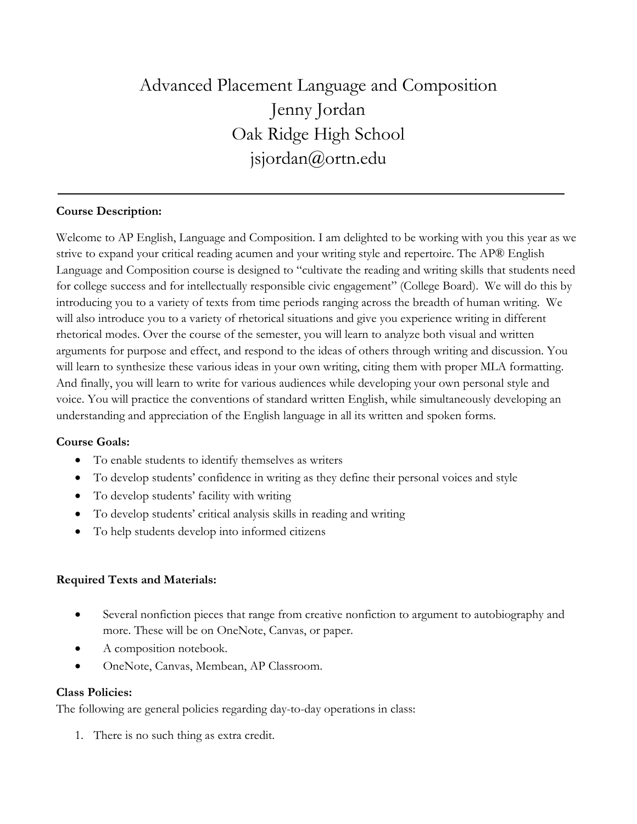# Advanced Placement Language and Composition Jenny Jordan Oak Ridge High School jsjordan@ortn.edu

# **Course Description:**

Welcome to AP English, Language and Composition. I am delighted to be working with you this year as we strive to expand your critical reading acumen and your writing style and repertoire. The AP® English Language and Composition course is designed to "cultivate the reading and writing skills that students need for college success and for intellectually responsible civic engagement" (College Board). We will do this by introducing you to a variety of texts from time periods ranging across the breadth of human writing. We will also introduce you to a variety of rhetorical situations and give you experience writing in different rhetorical modes. Over the course of the semester, you will learn to analyze both visual and written arguments for purpose and effect, and respond to the ideas of others through writing and discussion. You will learn to synthesize these various ideas in your own writing, citing them with proper MLA formatting. And finally, you will learn to write for various audiences while developing your own personal style and voice. You will practice the conventions of standard written English, while simultaneously developing an understanding and appreciation of the English language in all its written and spoken forms.

#### **Course Goals:**

- To enable students to identify themselves as writers
- To develop students' confidence in writing as they define their personal voices and style
- To develop students' facility with writing
- To develop students' critical analysis skills in reading and writing
- To help students develop into informed citizens

#### **Required Texts and Materials:**

- Several nonfiction pieces that range from creative nonfiction to argument to autobiography and more. These will be on OneNote, Canvas, or paper.
- A composition notebook.
- OneNote, Canvas, Membean, AP Classroom.

#### **Class Policies:**

The following are general policies regarding day-to-day operations in class:

1. There is no such thing as extra credit.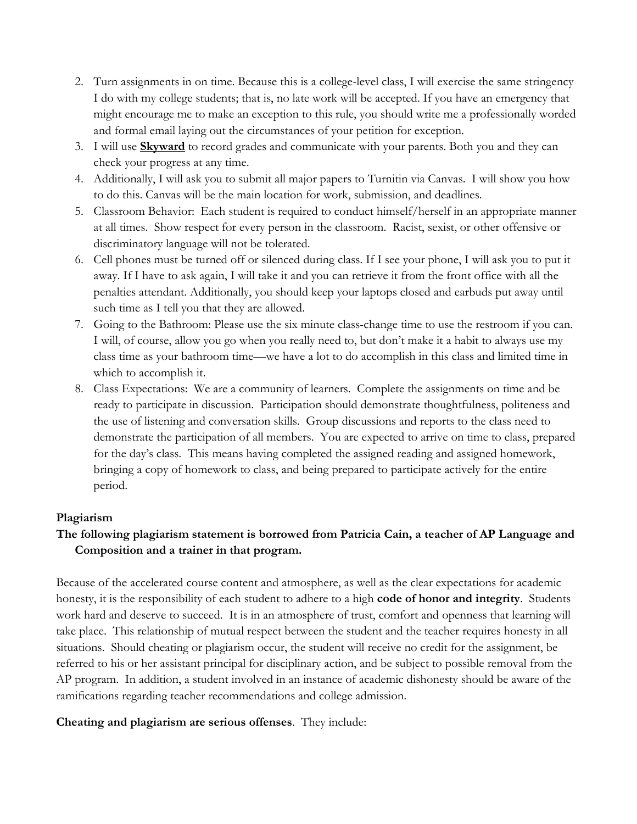- 2. Turn assignments in on time. Because this is a college-level class, I will exercise the same stringency I do with my college students; that is, no late work will be accepted. If you have an emergency that might encourage me to make an exception to this rule, you should write me a professionally worded and formal email laying out the circumstances of your petition for exception.
- 3. I will use **Skyward** to record grades and communicate with your parents. Both you and they can check your progress at any time.
- 4. Additionally, I will ask you to submit all major papers to Turnitin via Canvas. I will show you how to do this. Canvas will be the main location for work, submission, and deadlines.
- 5. Classroom Behavior: Each student is required to conduct himself/herself in an appropriate manner at all times. Show respect for every person in the classroom. Racist, sexist, or other offensive or discriminatory language will not be tolerated.
- 6. Cell phones must be turned off or silenced during class. If I see your phone, I will ask you to put it away. If I have to ask again, I will take it and you can retrieve it from the front office with all the penalties attendant. Additionally, you should keep your laptops closed and earbuds put away until such time as I tell you that they are allowed.
- 7. Going to the Bathroom: Please use the six minute class-change time to use the restroom if you can. I will, of course, allow you go when you really need to, but don't make it a habit to always use my class time as your bathroom time—we have a lot to do accomplish in this class and limited time in which to accomplish it.
- 8. Class Expectations: We are a community of learners. Complete the assignments on time and be ready to participate in discussion. Participation should demonstrate thoughtfulness, politeness and the use of listening and conversation skills. Group discussions and reports to the class need to demonstrate the participation of all members. You are expected to arrive on time to class, prepared for the day's class. This means having completed the assigned reading and assigned homework, bringing a copy of homework to class, and being prepared to participate actively for the entire period.

# **Plagiarism**

# **The following plagiarism statement is borrowed from Patricia Cain, a teacher of AP Language and Composition and a trainer in that program.**

Because of the accelerated course content and atmosphere, as well as the clear expectations for academic honesty, it is the responsibility of each student to adhere to a high **code of honor and integrity**. Students work hard and deserve to succeed. It is in an atmosphere of trust, comfort and openness that learning will take place. This relationship of mutual respect between the student and the teacher requires honesty in all situations. Should cheating or plagiarism occur, the student will receive no credit for the assignment, be referred to his or her assistant principal for disciplinary action, and be subject to possible removal from the AP program. In addition, a student involved in an instance of academic dishonesty should be aware of the ramifications regarding teacher recommendations and college admission.

#### **Cheating and plagiarism are serious offenses**. They include: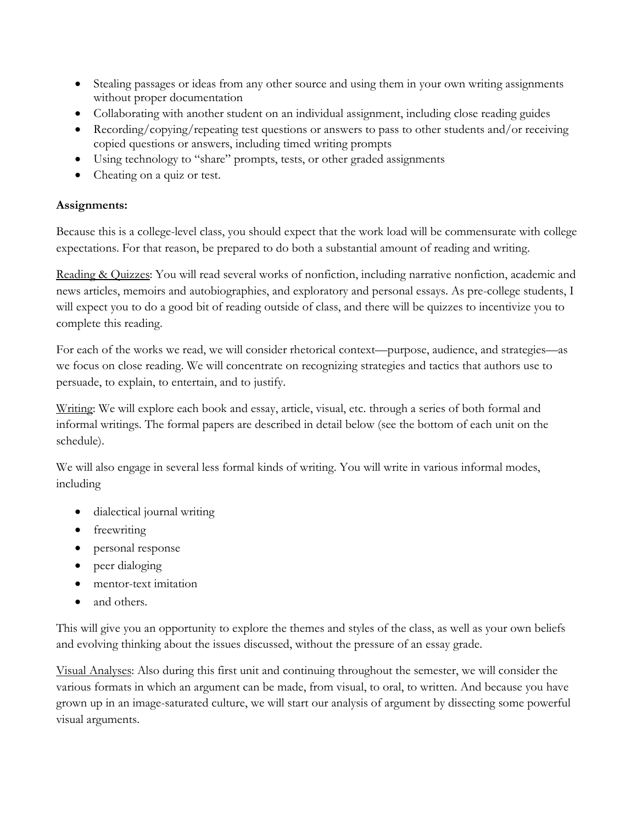- Stealing passages or ideas from any other source and using them in your own writing assignments without proper documentation
- Collaborating with another student on an individual assignment, including close reading guides
- Recording/copying/repeating test questions or answers to pass to other students and/or receiving copied questions or answers, including timed writing prompts
- Using technology to "share" prompts, tests, or other graded assignments
- Cheating on a quiz or test.

# **Assignments:**

Because this is a college-level class, you should expect that the work load will be commensurate with college expectations. For that reason, be prepared to do both a substantial amount of reading and writing.

Reading & Quizzes: You will read several works of nonfiction, including narrative nonfiction, academic and news articles, memoirs and autobiographies, and exploratory and personal essays. As pre-college students, I will expect you to do a good bit of reading outside of class, and there will be quizzes to incentivize you to complete this reading.

For each of the works we read, we will consider rhetorical context—purpose, audience, and strategies—as we focus on close reading. We will concentrate on recognizing strategies and tactics that authors use to persuade, to explain, to entertain, and to justify.

Writing: We will explore each book and essay, article, visual, etc. through a series of both formal and informal writings. The formal papers are described in detail below (see the bottom of each unit on the schedule).

We will also engage in several less formal kinds of writing. You will write in various informal modes, including

- dialectical journal writing
- freewriting
- personal response
- peer dialoging
- mentor-text imitation
- and others.

This will give you an opportunity to explore the themes and styles of the class, as well as your own beliefs and evolving thinking about the issues discussed, without the pressure of an essay grade.

Visual Analyses: Also during this first unit and continuing throughout the semester, we will consider the various formats in which an argument can be made, from visual, to oral, to written. And because you have grown up in an image-saturated culture, we will start our analysis of argument by dissecting some powerful visual arguments.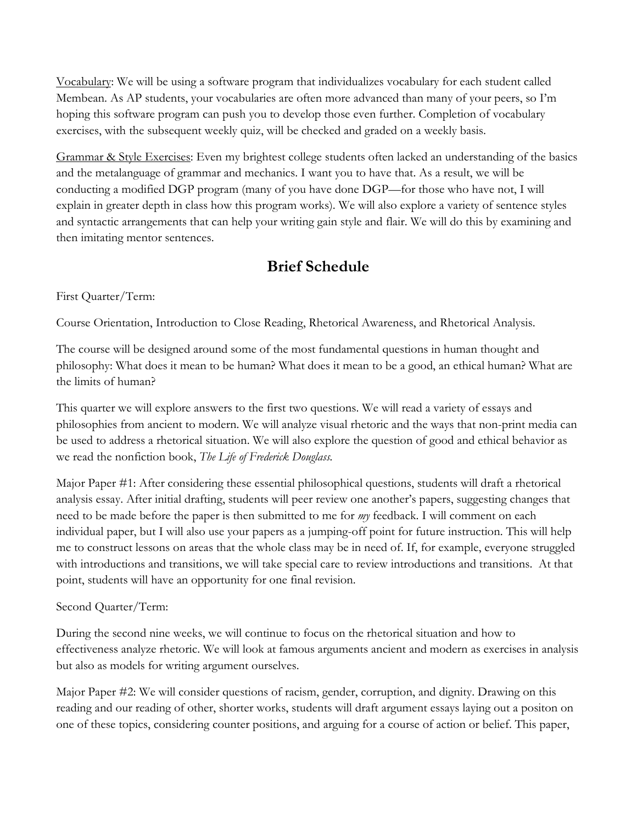Vocabulary: We will be using a software program that individualizes vocabulary for each student called Membean. As AP students, your vocabularies are often more advanced than many of your peers, so I'm hoping this software program can push you to develop those even further. Completion of vocabulary exercises, with the subsequent weekly quiz, will be checked and graded on a weekly basis.

Grammar & Style Exercises: Even my brightest college students often lacked an understanding of the basics and the metalanguage of grammar and mechanics. I want you to have that. As a result, we will be conducting a modified DGP program (many of you have done DGP—for those who have not, I will explain in greater depth in class how this program works). We will also explore a variety of sentence styles and syntactic arrangements that can help your writing gain style and flair. We will do this by examining and then imitating mentor sentences.

# **Brief Schedule**

# First Quarter/Term:

Course Orientation, Introduction to Close Reading, Rhetorical Awareness, and Rhetorical Analysis.

The course will be designed around some of the most fundamental questions in human thought and philosophy: What does it mean to be human? What does it mean to be a good, an ethical human? What are the limits of human?

This quarter we will explore answers to the first two questions. We will read a variety of essays and philosophies from ancient to modern. We will analyze visual rhetoric and the ways that non-print media can be used to address a rhetorical situation. We will also explore the question of good and ethical behavior as we read the nonfiction book, *The Life of Frederick Douglass.* 

Major Paper #1: After considering these essential philosophical questions, students will draft a rhetorical analysis essay. After initial drafting, students will peer review one another's papers, suggesting changes that need to be made before the paper is then submitted to me for *my* feedback. I will comment on each individual paper, but I will also use your papers as a jumping-off point for future instruction. This will help me to construct lessons on areas that the whole class may be in need of. If, for example, everyone struggled with introductions and transitions, we will take special care to review introductions and transitions. At that point, students will have an opportunity for one final revision.

# Second Quarter/Term:

During the second nine weeks, we will continue to focus on the rhetorical situation and how to effectiveness analyze rhetoric. We will look at famous arguments ancient and modern as exercises in analysis but also as models for writing argument ourselves.

Major Paper #2: We will consider questions of racism, gender, corruption, and dignity. Drawing on this reading and our reading of other, shorter works, students will draft argument essays laying out a positon on one of these topics, considering counter positions, and arguing for a course of action or belief. This paper,